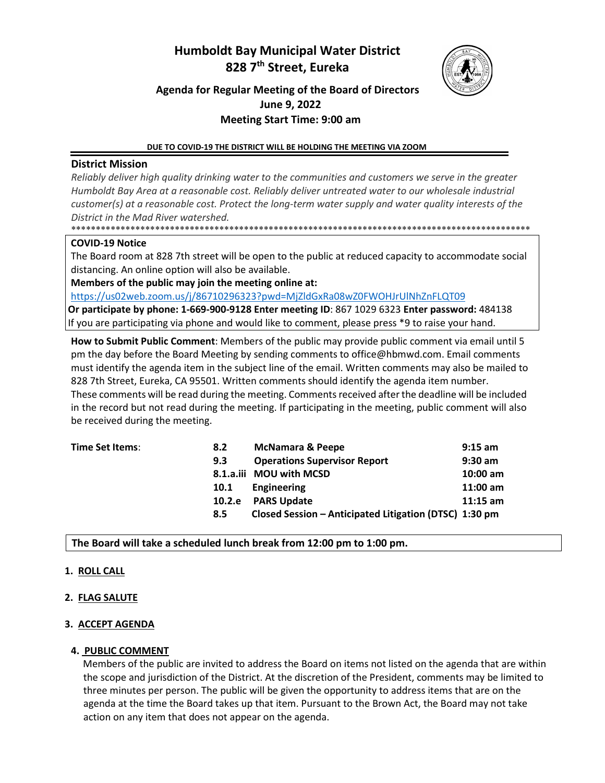# **Humboldt Bay Municipal Water District 828 7th Street, Eureka**



## **Agenda for Regular Meeting of the Board of Directors June 9, 2022 Meeting Start Time: 9:00 am**

#### **DUE TO COVID-19 THE DISTRICT WILL BE HOLDING THE MEETING VIA ZOOM**

## **District Mission**

*Reliably deliver high quality drinking water to the communities and customers we serve in the greater Humboldt Bay Area at a reasonable cost. Reliably deliver untreated water to our wholesale industrial customer(s) at a reasonable cost. Protect the long-term water supply and water quality interests of the District in the Mad River watershed.* \*\*\*\*\*\*\*\*\*\*\*\*\*\*\*\*\*\*\*\*\*\*\*\*\*\*\*\*\*\*\*\*\*\*\*\*\*\*\*\*\*\*\*\*\*\*\*\*\*\*\*\*\*\*\*\*\*\*\*\*\*\*\*\*\*\*\*\*\*\*\*\*\*\*\*\*\*\*\*\*\*\*\*\*\*\*\*\*\*\*\*\*\*

#### **COVID-19 Notice**

The Board room at 828 7th street will be open to the public at reduced capacity to accommodate social distancing. An online option will also be available.

**Members of the public may join the meeting online at:** 

<https://us02web.zoom.us/j/86710296323?pwd=MjZldGxRa08wZ0FWOHJrUlNhZnFLQT09>

**Or participate by phone: 1-669-900-9128 Enter meeting ID**: 867 1029 6323 **Enter password:** 484138 If you are participating via phone and would like to comment, please press \*9 to raise your hand.

**How to Submit Public Comment**: Members of the public may provide public comment via email until 5 pm the day before the Board Meeting by sending comments to [office@hbmwd.com. E](mailto:office@hbmwd.com)mail comments must identify the agenda item in the subject line of the email. Written comments may also be mailed to 828 7th Street, Eureka, CA 95501. Written comments should identify the agenda item number.

These comments will be read during the meeting. Comments received after the deadline will be included in the record but not read during the meeting. If participating in the meeting, public comment will also be received during the meeting.

| Time Set Items: | 8.2         | <b>McNamara &amp; Peepe</b>                            | $9:15$ am  |
|-----------------|-------------|--------------------------------------------------------|------------|
|                 | 9.3         | <b>Operations Supervisor Report</b>                    | $9:30$ am  |
|                 |             | 8.1.a.iii MOU with MCSD                                | $10:00$ am |
|                 | <b>10.1</b> | Engineering                                            | $11:00$ am |
|                 | 10.2.e      | <b>PARS Update</b>                                     | $11:15$ am |
|                 | 8.5         | Closed Session - Anticipated Litigation (DTSC) 1:30 pm |            |

#### **The Board will take a scheduled lunch break from 12:00 pm to 1:00 pm.**

#### **1. ROLL CALL**

#### **2. FLAG SALUTE**

#### **3. ACCEPT AGENDA**

## **4. PUBLIC COMMENT**

Members of the public are invited to address the Board on items not listed on the agenda that are within the scope and jurisdiction of the District. At the discretion of the President, comments may be limited to three minutes per person. The public will be given the opportunity to address items that are on the agenda at the time the Board takes up that item. Pursuant to the Brown Act, the Board may not take action on any item that does not appear on the agenda.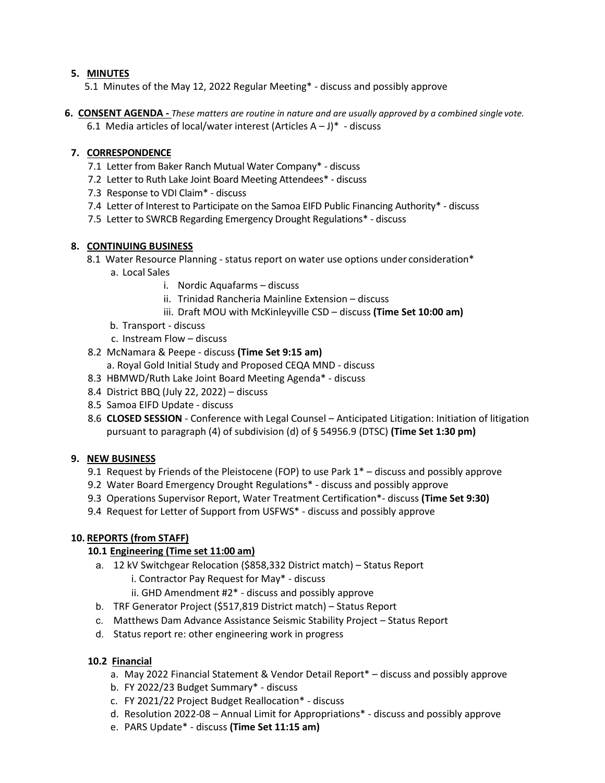## **5. MINUTES**

5.1 Minutes of the May 12, 2022 Regular Meeting\* - discuss and possibly approve

**6. CONSENT AGENDA -** *These matters are routine in nature and are usually approved by a combined single vote.*  6.1 Media articles of local/water interest (Articles  $A - J$ ) $*$  - discuss

## **7. CORRESPONDENCE**

- 7.1 Letter from Baker Ranch Mutual Water Company\* discuss
- 7.2 Letter to Ruth Lake Joint Board Meeting Attendees\* discuss
- 7.3 Response to VDI Claim\* discuss
- 7.4 Letter of Interest to Participate on the Samoa EIFD Public Financing Authority\* discuss
- 7.5 Letter to SWRCB Regarding Emergency Drought Regulations\* discuss

#### **8. CONTINUING BUSINESS**

- 8.1 Water Resource Planning status report on water use options under consideration\*
	- a. Local Sales
		- i. Nordic Aquafarms discuss
		- ii. Trinidad Rancheria Mainline Extension discuss
		- iii. Draft MOU with McKinleyville CSD discuss **(Time Set 10:00 am)**
	- b. Transport discuss
	- c. Instream Flow discuss
- 8.2 McNamara & Peepe discuss **(Time Set 9:15 am)**
	- a. Royal Gold Initial Study and Proposed CEQA MND discuss
- 8.3 HBMWD/Ruth Lake Joint Board Meeting Agenda\* discuss
- 8.4 District BBQ (July 22, 2022) discuss
- 8.5 Samoa EIFD Update discuss
- 8.6 **CLOSED SESSION**  Conference with Legal Counsel Anticipated Litigation: Initiation of litigation pursuant to paragraph (4) of subdivision (d) of § 54956.9 (DTSC) **(Time Set 1:30 pm)**

#### **9. NEW BUSINESS**

- 9.1 Request by Friends of the Pleistocene (FOP) to use Park 1\* discuss and possibly approve
- 9.2 Water Board Emergency Drought Regulations\* discuss and possibly approve
- 9.3 Operations Supervisor Report, Water Treatment Certification\*- discuss **(Time Set 9:30)**
- 9.4 Request for Letter of Support from USFWS\* discuss and possibly approve

## **10. REPORTS (from STAFF)**

#### **10.1 Engineering (Time set 11:00 am)**

- a. 12 kV Switchgear Relocation (\$858,332 District match) Status Report i. Contractor Pay Request for May\* - discuss
	- ii. GHD Amendment #2\* discuss and possibly approve
- b. TRF Generator Project (\$517,819 District match) Status Report
- c. Matthews Dam Advance Assistance Seismic Stability Project Status Report
- d. Status report re: other engineering work in progress

## **10.2 Financial**

- a. May 2022 Financial Statement & Vendor Detail Report\* discuss and possibly approve
- b. FY 2022/23 Budget Summary\* discuss
- c. FY 2021/22 Project Budget Reallocation\* discuss
- d. Resolution 2022-08 Annual Limit for Appropriations\* discuss and possibly approve
- e. PARS Update\* discuss **(Time Set 11:15 am)**